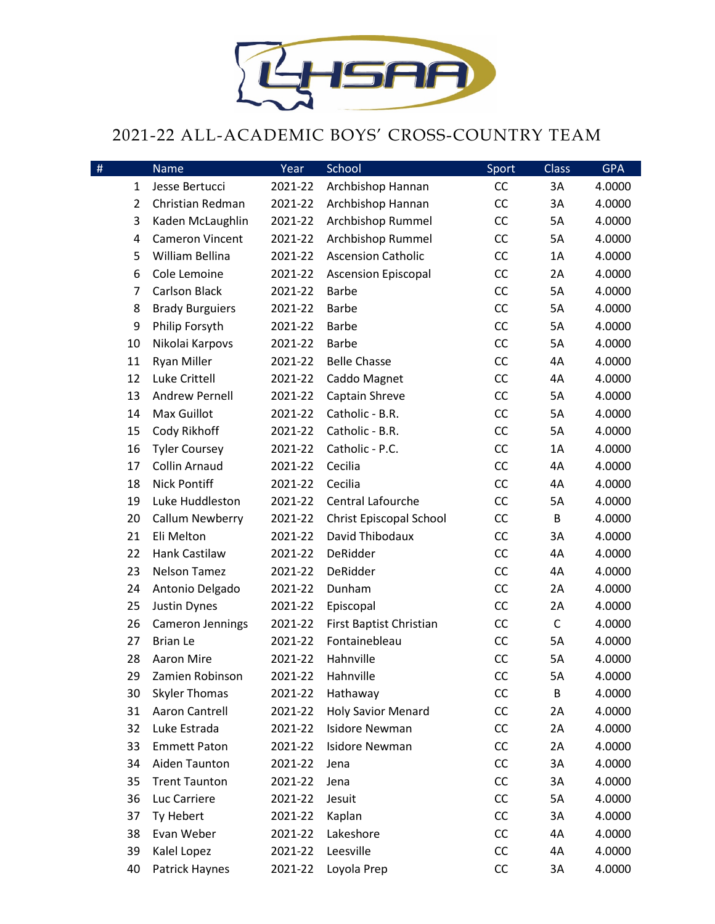

## 2021-22 ALL-ACADEMIC BOYS' CROSS-COUNTRY TEAM

| #              | <b>Name</b>             | Year    | School                     | Sport     | Class       | <b>GPA</b> |
|----------------|-------------------------|---------|----------------------------|-----------|-------------|------------|
| $\mathbf{1}$   | Jesse Bertucci          | 2021-22 | Archbishop Hannan          | CC        | 3A          | 4.0000     |
| $\overline{2}$ | Christian Redman        | 2021-22 | Archbishop Hannan          | CC        | 3A          | 4.0000     |
| 3              | Kaden McLaughlin        | 2021-22 | Archbishop Rummel          | CC        | 5A          | 4.0000     |
| 4              | <b>Cameron Vincent</b>  | 2021-22 | Archbishop Rummel          | CC        | 5A          | 4.0000     |
| 5              | William Bellina         | 2021-22 | <b>Ascension Catholic</b>  | CC        | 1A          | 4.0000     |
| 6              | Cole Lemoine            | 2021-22 | <b>Ascension Episcopal</b> | CC        | 2A          | 4.0000     |
| 7              | <b>Carlson Black</b>    | 2021-22 | <b>Barbe</b>               | CC        | 5A          | 4.0000     |
| 8              | <b>Brady Burguiers</b>  | 2021-22 | <b>Barbe</b>               | CC        | 5A          | 4.0000     |
| 9              | Philip Forsyth          | 2021-22 | Barbe                      | CC        | 5A          | 4.0000     |
| 10             | Nikolai Karpovs         | 2021-22 | Barbe                      | CC        | 5A          | 4.0000     |
| 11             | Ryan Miller             | 2021-22 | <b>Belle Chasse</b>        | CC        | 4A          | 4.0000     |
| 12             | Luke Crittell           | 2021-22 | Caddo Magnet               | CC        | 4A          | 4.0000     |
| 13             | <b>Andrew Pernell</b>   | 2021-22 | Captain Shreve             | CC        | 5A          | 4.0000     |
| 14             | Max Guillot             | 2021-22 | Catholic - B.R.            | CC        | 5A          | 4.0000     |
| 15             | Cody Rikhoff            | 2021-22 | Catholic - B.R.            | CC        | 5A          | 4.0000     |
| 16             | <b>Tyler Coursey</b>    | 2021-22 | Catholic - P.C.            | CC        | 1A          | 4.0000     |
| 17             | <b>Collin Arnaud</b>    | 2021-22 | Cecilia                    | CC        | 4A          | 4.0000     |
| 18             | <b>Nick Pontiff</b>     | 2021-22 | Cecilia                    | CC        | 4A          | 4.0000     |
| 19             | Luke Huddleston         | 2021-22 | Central Lafourche          | CC        | 5A          | 4.0000     |
| 20             | Callum Newberry         | 2021-22 | Christ Episcopal School    | CC        | B           | 4.0000     |
| 21             | Eli Melton              | 2021-22 | David Thibodaux            | CC        | 3A          | 4.0000     |
| 22             | Hank Castilaw           | 2021-22 | DeRidder                   | CC        | 4A          | 4.0000     |
| 23             | Nelson Tamez            | 2021-22 | DeRidder                   | CC        | 4A          | 4.0000     |
| 24             | Antonio Delgado         | 2021-22 | Dunham                     | CC        | 2A          | 4.0000     |
| 25             | Justin Dynes            | 2021-22 | Episcopal                  | CC        | 2A          | 4.0000     |
| 26             | <b>Cameron Jennings</b> | 2021-22 | First Baptist Christian    | CC        | $\mathsf C$ | 4.0000     |
| 27             | <b>Brian Le</b>         | 2021-22 | Fontainebleau              | CC        | 5A          | 4.0000     |
| 28             | Aaron Mire              | 2021-22 | Hahnville                  | CC        | 5A          | 4.0000     |
| 29             | Zamien Robinson         | 2021-22 | Hahnville                  | <b>CC</b> | 5A          | 4.0000     |
| 30             | <b>Skyler Thomas</b>    | 2021-22 | Hathaway                   | CC        | B           | 4.0000     |
| 31             | Aaron Cantrell          | 2021-22 | <b>Holy Savior Menard</b>  | CC        | 2A          | 4.0000     |
| 32             | Luke Estrada            | 2021-22 | <b>Isidore Newman</b>      | CC        | 2A          | 4.0000     |
| 33             | <b>Emmett Paton</b>     | 2021-22 | <b>Isidore Newman</b>      | CC        | 2A          | 4.0000     |
| 34             | Aiden Taunton           | 2021-22 | Jena                       | CC        | 3A          | 4.0000     |
| 35             | <b>Trent Taunton</b>    | 2021-22 | Jena                       | CC        | 3A          | 4.0000     |
| 36             | Luc Carriere            | 2021-22 | Jesuit                     | CC        | 5A          | 4.0000     |
| 37             | Ty Hebert               | 2021-22 | Kaplan                     | CC        | 3A          | 4.0000     |
| 38             | Evan Weber              | 2021-22 | Lakeshore                  | CC        | 4A          | 4.0000     |
| 39             | Kalel Lopez             | 2021-22 | Leesville                  | CC        | 4A          | 4.0000     |
| 40             | Patrick Haynes          | 2021-22 | Loyola Prep                | CC        | 3A          | 4.0000     |